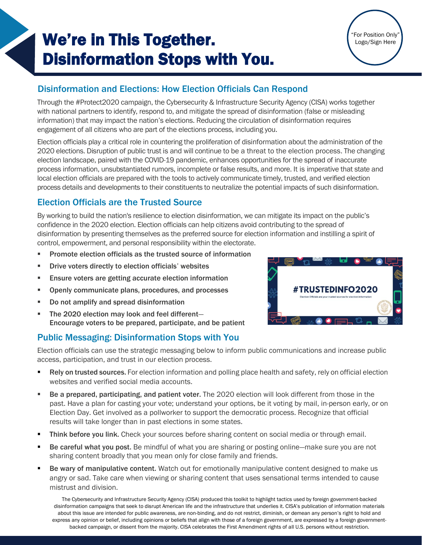# We're in This Together. Disinformation Stops with You.



### Disinformation and Elections: How Election Officials Can Respond

Through the #Protect2020 campaign, the Cybersecurity & Infrastructure Security Agency (CISA) works together with national partners to identify, respond to, and mitigate the spread of disinformation (false or misleading information) that may impact the nation's elections. Reducing the circulation of disinformation requires engagement of all citizens who are part of the elections process, including you.

Election officials play a critical role in countering the proliferation of disinformation about the administration of the 2020 elections. Disruption of public trust is and will continue to be a threat to the election process. The changing election landscape, paired with the COVID-19 pandemic, enhances opportunities for the spread of inaccurate process information, unsubstantiated rumors, incomplete or false results, and more. It is imperative that state and local election officials are prepared with the tools to actively communicate timely, trusted, and verified election process details and developments to their constituents to neutralize the potential impacts of such disinformation.

### Election Officials are the Trusted Source

By working to build the nation's resilience to election disinformation, we can mitigate its impact on the public's confidence in the 2020 election. Election officials can help citizens avoid contributing to the spread of disinformation by presenting themselves as the preferred source for election information and instilling a spirit of control, empowerment, and personal responsibility within the electorate.

- **Promote election officials as the trusted source of information**
- Drive voters directly to election officials' websites
- Ensure voters are getting accurate election information
- Openly communicate plans, procedures, and processes
- Do not amplify and spread disinformation
- The 2020 election may look and feel different-Encourage voters to be prepared, participate, and be patient

## Public Messaging: Disinformation Stops with You

Election officials can use the strategic messaging below to inform public communications and increase public access, participation, and trust in our election process.

- **EXEL Rely on trusted sources.** For election information and polling place health and safety, rely on official election websites and verified social media accounts.
- Be a prepared, participating, and patient voter. The 2020 election will look different from those in the past. Have a plan for casting your vote; understand your options, be it voting by mail, in-person early, or on Election Day. Get involved as a pollworker to support the democratic process. Recognize that official results will take longer than in past elections in some states.
- Think before you link. Check your sources before sharing content on social media or through email.
- Be careful what you post. Be mindful of what you are sharing or posting online—make sure you are not sharing content broadly that you mean only for close family and friends.
- Be wary of manipulative content. Watch out for emotionally manipulative content designed to make us angry or sad. Take care when viewing or sharing content that uses sensational terms intended to cause mistrust and division.

The Cybersecurity and Infrastructure Security Agency (CISA) produced this toolkit to highlight tactics used by foreign government-backed disinformation campaigns that seek to disrupt American life and the infrastructure that underlies it. CISA's publication of information materials about this issue are intended for public awareness, are non-binding, and do not restrict, diminish, or demean any person's right to hold and express any opinion or belief, including opinions or beliefs that align with those of a foreign government, are expressed by a foreign governmentbacked campaign, or dissent from the majority. CISA celebrates the First Amendment rights of all U.S. persons without restriction.